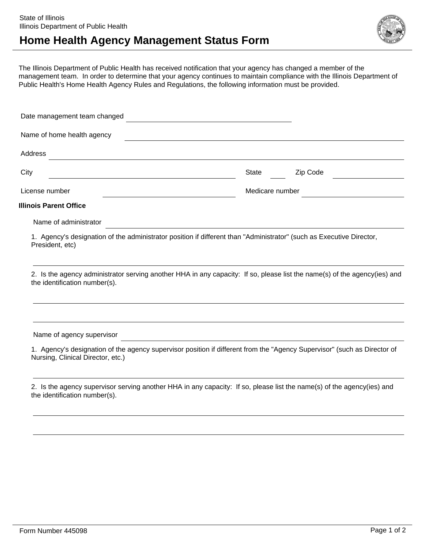## **Home Health Agency Management Status Form**



The Illinois Department of Public Health has received notification that your agency has changed a member of the management team. In order to determine that your agency continues to maintain compliance with the Illinois Department of Public Health's Home Health Agency Rules and Regulations, the following information must be provided.

| Date management team changed                                                                                                                                  |                                                       |          |
|---------------------------------------------------------------------------------------------------------------------------------------------------------------|-------------------------------------------------------|----------|
| Name of home health agency                                                                                                                                    |                                                       |          |
| Address<br><u> 1989 - Andrea Santa Alemania, amerikana amerikana amerikana amerikana amerikana amerikana amerikana amerikan</u>                               |                                                       |          |
| City<br><u> 1989 - Johann Barbara, martxa alemaniar a</u>                                                                                                     | State                                                 | Zip Code |
| License number                                                                                                                                                | Medicare number                                       |          |
| <b>Illinois Parent Office</b>                                                                                                                                 |                                                       |          |
| Name of administrator                                                                                                                                         |                                                       |          |
| 1. Agency's designation of the administrator position if different than "Administrator" (such as Executive Director,<br>President, etc)                       |                                                       |          |
| 2. Is the agency administrator serving another HHA in any capacity: If so, please list the name(s) of the agency(ies) and<br>the identification number(s).    |                                                       |          |
|                                                                                                                                                               |                                                       |          |
| Name of agency supervisor                                                                                                                                     | <u> 1989 - Johann Stoff, fransk politik (d. 1989)</u> |          |
| 1. Agency's designation of the agency supervisor position if different from the "Agency Supervisor" (such as Director of<br>Nursing, Clinical Director, etc.) |                                                       |          |
| 2. Is the agency supervisor serving another HHA in any capacity: If so, please list the name(s) of the agency(ies) and<br>the identification number(s).       |                                                       |          |